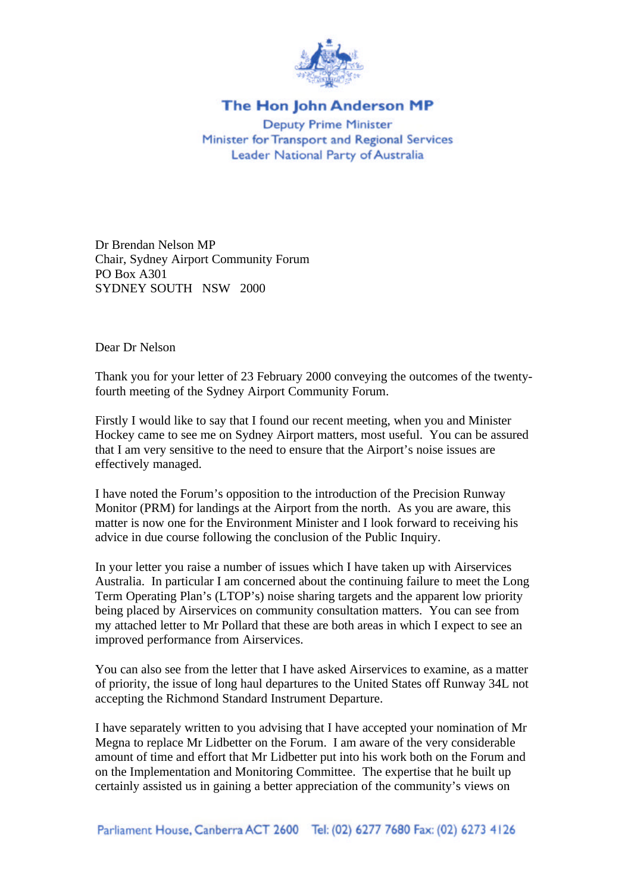

## The Hon John Anderson MP

**Deputy Prime Minister** Minister for Transport and Regional Services Leader National Party of Australia

Dr Brendan Nelson MP Chair, Sydney Airport Community Forum PO Box A301 SYDNEY SOUTH NSW 2000

Dear Dr Nelson

Thank you for your letter of 23 February 2000 conveying the outcomes of the twentyfourth meeting of the Sydney Airport Community Forum.

Firstly I would like to say that I found our recent meeting, when you and Minister Hockey came to see me on Sydney Airport matters, most useful. You can be assured that I am very sensitive to the need to ensure that the Airport's noise issues are effectively managed.

I have noted the Forum's opposition to the introduction of the Precision Runway Monitor (PRM) for landings at the Airport from the north. As you are aware, this matter is now one for the Environment Minister and I look forward to receiving his advice in due course following the conclusion of the Public Inquiry.

In your letter you raise a number of issues which I have taken up with Airservices Australia. In particular I am concerned about the continuing failure to meet the Long Term Operating Plan's (LTOP's) noise sharing targets and the apparent low priority being placed by Airservices on community consultation matters. You can see from my attached letter to Mr Pollard that these are both areas in which I expect to see an improved performance from Airservices.

You can also see from the letter that I have asked Airservices to examine, as a matter of priority, the issue of long haul departures to the United States off Runway 34L not accepting the Richmond Standard Instrument Departure.

I have separately written to you advising that I have accepted your nomination of Mr Megna to replace Mr Lidbetter on the Forum. I am aware of the very considerable amount of time and effort that Mr Lidbetter put into his work both on the Forum and on the Implementation and Monitoring Committee. The expertise that he built up certainly assisted us in gaining a better appreciation of the community's views on